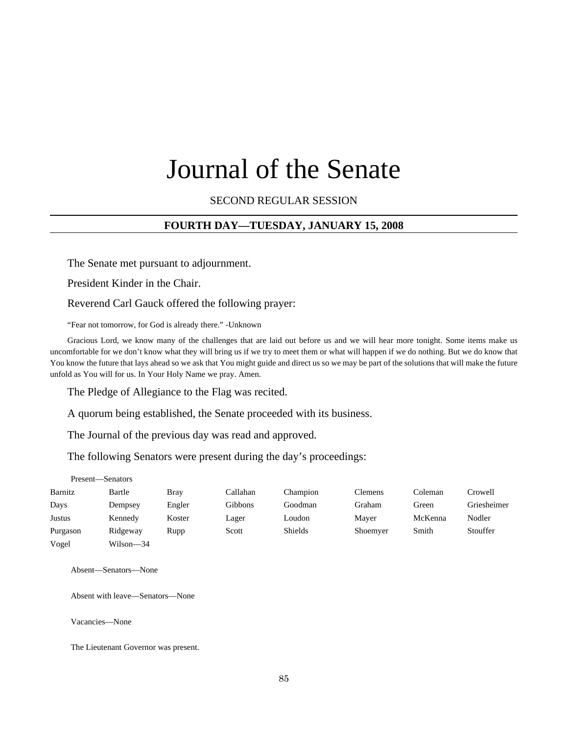# Journal of the Senate

SECOND REGULAR SESSION

# **FOURTH DAY—TUESDAY, JANUARY 15, 2008**

The Senate met pursuant to adjournment.

President Kinder in the Chair.

Reverend Carl Gauck offered the following prayer:

"Fear not tomorrow, for God is already there." -Unknown

Gracious Lord, we know many of the challenges that are laid out before us and we will hear more tonight. Some items make us uncomfortable for we don't know what they will bring us if we try to meet them or what will happen if we do nothing. But we do know that You know the future that lays ahead so we ask that You might guide and direct us so we may be part of the solutions that will make the future unfold as You will for us. In Your Holy Name we pray. Amen.

The Pledge of Allegiance to the Flag was recited.

A quorum being established, the Senate proceeded with its business.

The Journal of the previous day was read and approved.

The following Senators were present during the day's proceedings:

| Present—Senators |           |             |          |                |                |         |             |
|------------------|-----------|-------------|----------|----------------|----------------|---------|-------------|
| Barnitz          | Bartle    | <b>Bray</b> | Callahan | Champion       | <b>Clemens</b> | Coleman | Crowell     |
| Days             | Dempsey   | Engler      | Gibbons  | Goodman        | Graham         | Green   | Griesheimer |
| Justus           | Kennedy   | Koster      | Lager    | Loudon         | Mayer          | McKenna | Nodler      |
| Purgason         | Ridgeway  | Rupp        | Scott    | <b>Shields</b> | Shoemyer       | Smith   | Stouffer    |
| Vogel            | Wilson-34 |             |          |                |                |         |             |

Absent—Senators—None

Absent with leave—Senators—None

Vacancies—None

The Lieutenant Governor was present.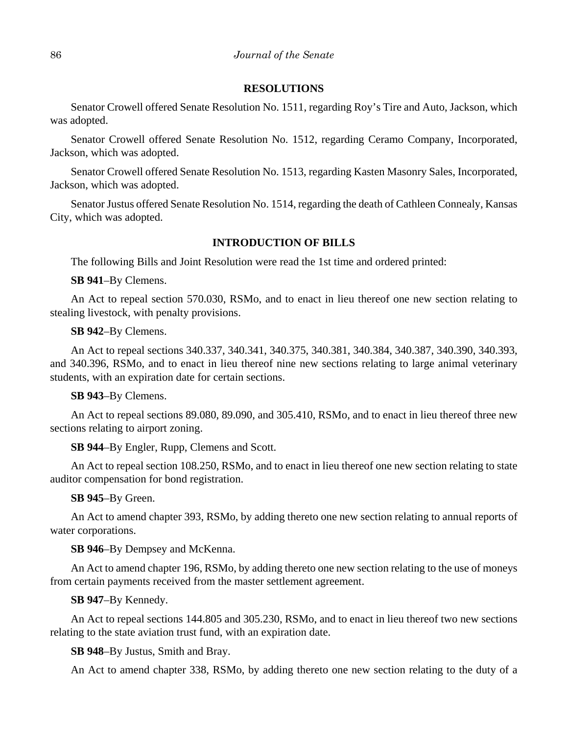## **RESOLUTIONS**

Senator Crowell offered Senate Resolution No. 1511, regarding Roy's Tire and Auto, Jackson, which was adopted.

Senator Crowell offered Senate Resolution No. 1512, regarding Ceramo Company, Incorporated, Jackson, which was adopted.

Senator Crowell offered Senate Resolution No. 1513, regarding Kasten Masonry Sales, Incorporated, Jackson, which was adopted.

Senator Justus offered Senate Resolution No. 1514, regarding the death of Cathleen Connealy, Kansas City, which was adopted.

## **INTRODUCTION OF BILLS**

The following Bills and Joint Resolution were read the 1st time and ordered printed:

**SB 941**–By Clemens.

An Act to repeal section 570.030, RSMo, and to enact in lieu thereof one new section relating to stealing livestock, with penalty provisions.

**SB 942**–By Clemens.

An Act to repeal sections 340.337, 340.341, 340.375, 340.381, 340.384, 340.387, 340.390, 340.393, and 340.396, RSMo, and to enact in lieu thereof nine new sections relating to large animal veterinary students, with an expiration date for certain sections.

**SB 943**–By Clemens.

An Act to repeal sections 89.080, 89.090, and 305.410, RSMo, and to enact in lieu thereof three new sections relating to airport zoning.

**SB 944**–By Engler, Rupp, Clemens and Scott.

An Act to repeal section 108.250, RSMo, and to enact in lieu thereof one new section relating to state auditor compensation for bond registration.

**SB 945**–By Green.

An Act to amend chapter 393, RSMo, by adding thereto one new section relating to annual reports of water corporations.

**SB 946**–By Dempsey and McKenna.

An Act to amend chapter 196, RSMo, by adding thereto one new section relating to the use of moneys from certain payments received from the master settlement agreement.

**SB 947**–By Kennedy.

An Act to repeal sections 144.805 and 305.230, RSMo, and to enact in lieu thereof two new sections relating to the state aviation trust fund, with an expiration date.

**SB 948**–By Justus, Smith and Bray.

An Act to amend chapter 338, RSMo, by adding thereto one new section relating to the duty of a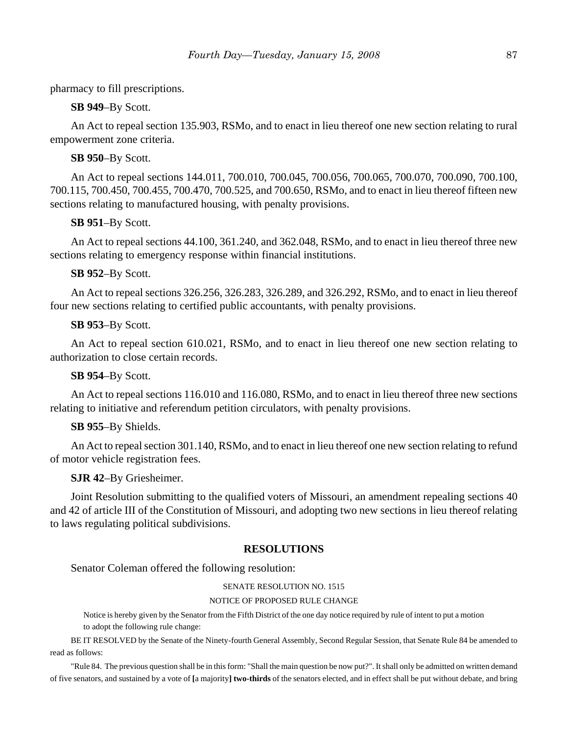pharmacy to fill prescriptions.

**SB 949**–By Scott.

An Act to repeal section 135.903, RSMo, and to enact in lieu thereof one new section relating to rural empowerment zone criteria.

**SB 950**–By Scott.

An Act to repeal sections 144.011, 700.010, 700.045, 700.056, 700.065, 700.070, 700.090, 700.100, 700.115, 700.450, 700.455, 700.470, 700.525, and 700.650, RSMo, and to enact in lieu thereof fifteen new sections relating to manufactured housing, with penalty provisions.

**SB 951**–By Scott.

An Act to repeal sections 44.100, 361.240, and 362.048, RSMo, and to enact in lieu thereof three new sections relating to emergency response within financial institutions.

**SB 952**–By Scott.

An Act to repeal sections 326.256, 326.283, 326.289, and 326.292, RSMo, and to enact in lieu thereof four new sections relating to certified public accountants, with penalty provisions.

**SB 953**–By Scott.

An Act to repeal section 610.021, RSMo, and to enact in lieu thereof one new section relating to authorization to close certain records.

**SB 954**–By Scott.

An Act to repeal sections 116.010 and 116.080, RSMo, and to enact in lieu thereof three new sections relating to initiative and referendum petition circulators, with penalty provisions.

## **SB 955**–By Shields.

An Act to repeal section 301.140, RSMo, and to enact in lieu thereof one new section relating to refund of motor vehicle registration fees.

**SJR 42**–By Griesheimer.

Joint Resolution submitting to the qualified voters of Missouri, an amendment repealing sections 40 and 42 of article III of the Constitution of Missouri, and adopting two new sections in lieu thereof relating to laws regulating political subdivisions.

## **RESOLUTIONS**

Senator Coleman offered the following resolution:

SENATE RESOLUTION NO. 1515

#### NOTICE OF PROPOSED RULE CHANGE

Notice is hereby given by the Senator from the Fifth District of the one day notice required by rule of intent to put a motion to adopt the following rule change:

BE IT RESOLVED by the Senate of the Ninety-fourth General Assembly, Second Regular Session, that Senate Rule 84 be amended to read as follows:

"Rule 84. The previous question shall be in this form: "Shall the main question be now put?". It shall only be admitted on written demand of five senators, and sustained by a vote of **[**a majority**] two-thirds** of the senators elected, and in effect shall be put without debate, and bring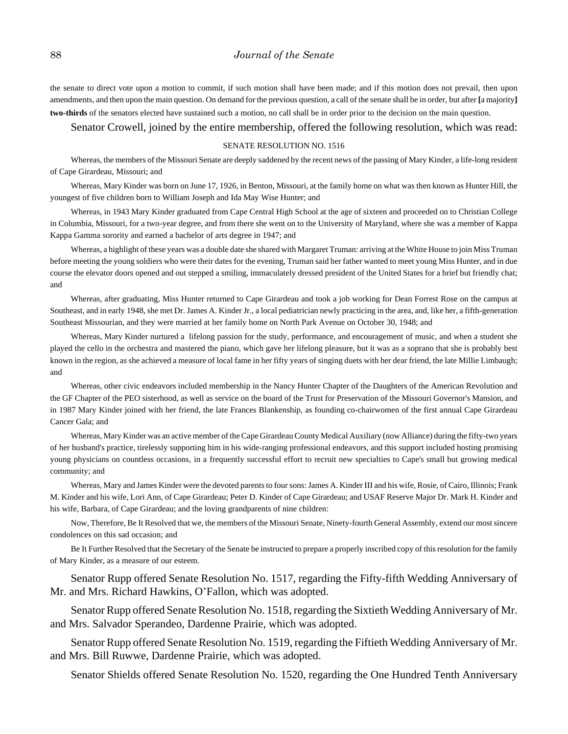the senate to direct vote upon a motion to commit, if such motion shall have been made; and if this motion does not prevail, then upon amendments, and then upon the main question. On demand for the previous question, a call of the senate shall be in order, but after **[**a majority**] two-thirds** of the senators elected have sustained such a motion, no call shall be in order prior to the decision on the main question.

Senator Crowell, joined by the entire membership, offered the following resolution, which was read:

#### SENATE RESOLUTION NO. 1516

Whereas, the members of the Missouri Senate are deeply saddened by the recent news of the passing of Mary Kinder, a life-long resident of Cape Girardeau, Missouri; and

Whereas, Mary Kinder was born on June 17, 1926, in Benton, Missouri, at the family home on what was then known as Hunter Hill, the youngest of five children born to William Joseph and Ida May Wise Hunter; and

Whereas, in 1943 Mary Kinder graduated from Cape Central High School at the age of sixteen and proceeded on to Christian College in Columbia, Missouri, for a two-year degree, and from there she went on to the University of Maryland, where she was a member of Kappa Kappa Gamma sorority and earned a bachelor of arts degree in 1947; and

Whereas, a highlight of these years was a double date she shared with Margaret Truman: arriving at the White House to join Miss Truman before meeting the young soldiers who were their dates for the evening, Truman said her father wanted to meet young Miss Hunter, and in due course the elevator doors opened and out stepped a smiling, immaculately dressed president of the United States for a brief but friendly chat; and

Whereas, after graduating, Miss Hunter returned to Cape Girardeau and took a job working for Dean Forrest Rose on the campus at Southeast, and in early 1948, she met Dr. James A. Kinder Jr., a local pediatrician newly practicing in the area, and, like her, a fifth-generation Southeast Missourian, and they were married at her family home on North Park Avenue on October 30, 1948; and

Whereas, Mary Kinder nurtured a lifelong passion for the study, performance, and encouragement of music, and when a student she played the cello in the orchestra and mastered the piano, which gave her lifelong pleasure, but it was as a soprano that she is probably best known in the region, as she achieved a measure of local fame in her fifty years of singing duets with her dear friend, the late Millie Limbaugh; and

Whereas, other civic endeavors included membership in the Nancy Hunter Chapter of the Daughters of the American Revolution and the GF Chapter of the PEO sisterhood, as well as service on the board of the Trust for Preservation of the Missouri Governor's Mansion, and in 1987 Mary Kinder joined with her friend, the late Frances Blankenship, as founding co-chairwomen of the first annual Cape Girardeau Cancer Gala; and

Whereas, Mary Kinder was an active member of the Cape Girardeau County Medical Auxiliary (now Alliance) during the fifty-two years of her husband's practice, tirelessly supporting him in his wide-ranging professional endeavors, and this support included hosting promising young physicians on countless occasions, in a frequently successful effort to recruit new specialties to Cape's small but growing medical community; and

Whereas, Mary and James Kinder were the devoted parents to four sons: James A. Kinder III and his wife, Rosie, of Cairo, Illinois; Frank M. Kinder and his wife, Lori Ann, of Cape Girardeau; Peter D. Kinder of Cape Girardeau; and USAF Reserve Major Dr. Mark H. Kinder and his wife, Barbara, of Cape Girardeau; and the loving grandparents of nine children:

Now, Therefore, Be It Resolved that we, the members of the Missouri Senate, Ninety-fourth General Assembly, extend our most sincere condolences on this sad occasion; and

Be It Further Resolved that the Secretary of the Senate be instructed to prepare a properly inscribed copy of this resolution for the family of Mary Kinder, as a measure of our esteem.

Senator Rupp offered Senate Resolution No. 1517, regarding the Fifty-fifth Wedding Anniversary of Mr. and Mrs. Richard Hawkins, O'Fallon, which was adopted.

Senator Rupp offered Senate Resolution No. 1518, regarding the Sixtieth Wedding Anniversary of Mr. and Mrs. Salvador Sperandeo, Dardenne Prairie, which was adopted.

Senator Rupp offered Senate Resolution No. 1519, regarding the Fiftieth Wedding Anniversary of Mr. and Mrs. Bill Ruwwe, Dardenne Prairie, which was adopted.

Senator Shields offered Senate Resolution No. 1520, regarding the One Hundred Tenth Anniversary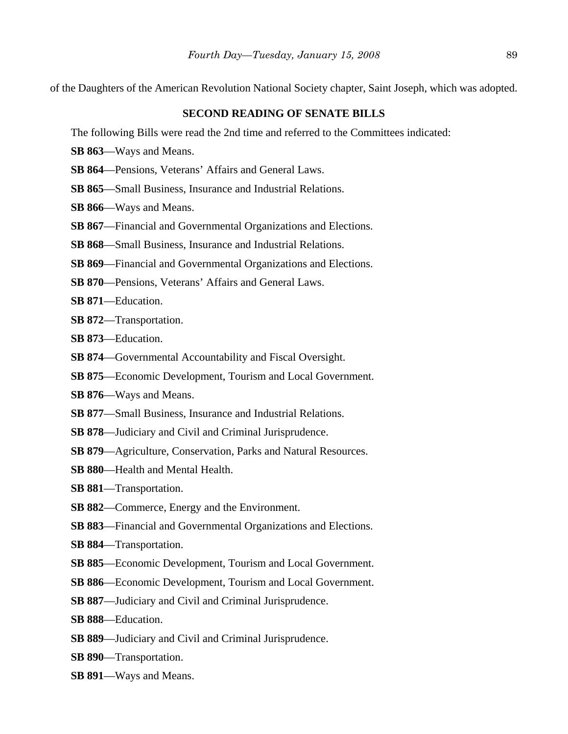of the Daughters of the American Revolution National Society chapter, Saint Joseph, which was adopted.

# **SECOND READING OF SENATE BILLS**

The following Bills were read the 2nd time and referred to the Committees indicated:

- **SB 863**—Ways and Means.
- **SB 864**—Pensions, Veterans' Affairs and General Laws.
- **SB 865**—Small Business, Insurance and Industrial Relations.
- **SB 866**—Ways and Means.
- **SB 867**—Financial and Governmental Organizations and Elections.
- **SB 868**—Small Business, Insurance and Industrial Relations.
- **SB 869**—Financial and Governmental Organizations and Elections.
- **SB 870**—Pensions, Veterans' Affairs and General Laws.
- **SB 871**—Education.
- **SB 872**—Transportation.
- **SB 873**—Education.
- **SB 874**—Governmental Accountability and Fiscal Oversight.
- **SB 875**—Economic Development, Tourism and Local Government.
- **SB 876**—Ways and Means.
- **SB 877**—Small Business, Insurance and Industrial Relations.
- **SB 878**—Judiciary and Civil and Criminal Jurisprudence.
- **SB 879**—Agriculture, Conservation, Parks and Natural Resources.
- **SB 880**—Health and Mental Health.
- **SB 881**—Transportation.
- **SB 882**—Commerce, Energy and the Environment.
- **SB 883**—Financial and Governmental Organizations and Elections.
- **SB 884**—Transportation.
- **SB 885**—Economic Development, Tourism and Local Government.
- **SB 886**—Economic Development, Tourism and Local Government.
- **SB 887**—Judiciary and Civil and Criminal Jurisprudence.
- **SB 888**—Education.
- **SB 889**—Judiciary and Civil and Criminal Jurisprudence.
- **SB 890**—Transportation.
- **SB 891**—Ways and Means.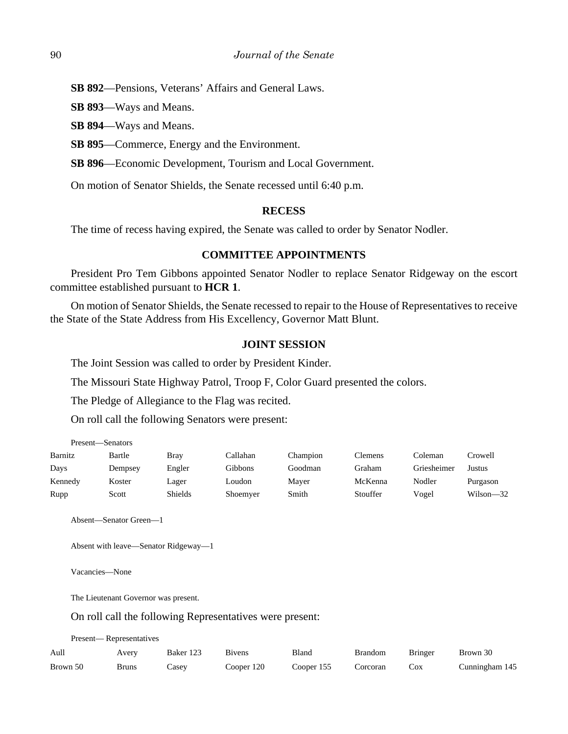**SB 892**—Pensions, Veterans' Affairs and General Laws.

**SB 893**—Ways and Means.

**SB 894**—Ways and Means.

**SB 895**—Commerce, Energy and the Environment.

**SB 896**—Economic Development, Tourism and Local Government.

On motion of Senator Shields, the Senate recessed until 6:40 p.m.

## **RECESS**

The time of recess having expired, the Senate was called to order by Senator Nodler.

# **COMMITTEE APPOINTMENTS**

President Pro Tem Gibbons appointed Senator Nodler to replace Senator Ridgeway on the escort committee established pursuant to **HCR 1**.

On motion of Senator Shields, the Senate recessed to repair to the House of Representatives to receive the State of the State Address from His Excellency, Governor Matt Blunt.

## **JOINT SESSION**

The Joint Session was called to order by President Kinder.

The Missouri State Highway Patrol, Troop F, Color Guard presented the colors.

The Pledge of Allegiance to the Flag was recited.

On roll call the following Senators were present:

| Present—Senators |         |                |          |          |          |             |           |
|------------------|---------|----------------|----------|----------|----------|-------------|-----------|
| Barnitz          | Bartle  | <b>Bray</b>    | Callahan | Champion | Clemens  | Coleman     | Crowell   |
| Days             | Dempsey | Engler         | Gibbons  | Goodman  | Graham   | Griesheimer | Justus    |
| Kennedy          | Koster  | Lager          | Loudon   | Mayer    | McKenna  | Nodler      | Purgason  |
| Rupp             | Scott   | <b>Shields</b> | Shoemyer | Smith    | Stouffer | Vogel       | Wilson—32 |

Absent—Senator Green—1

Absent with leave—Senator Ridgeway—1

Vacancies—None

The Lieutenant Governor was present.

On roll call the following Representatives were present:

Present— Representatives

| Aull     | Avery        | Baker 123 | <b>Bivens</b> | Bland      | Brandom  | Bringer | Brown 30       |
|----------|--------------|-----------|---------------|------------|----------|---------|----------------|
| Brown 50 | <b>Bruns</b> | Casey     | Cooper 120    | Cooper 155 | Corcoran | $\cos$  | Cunningham 145 |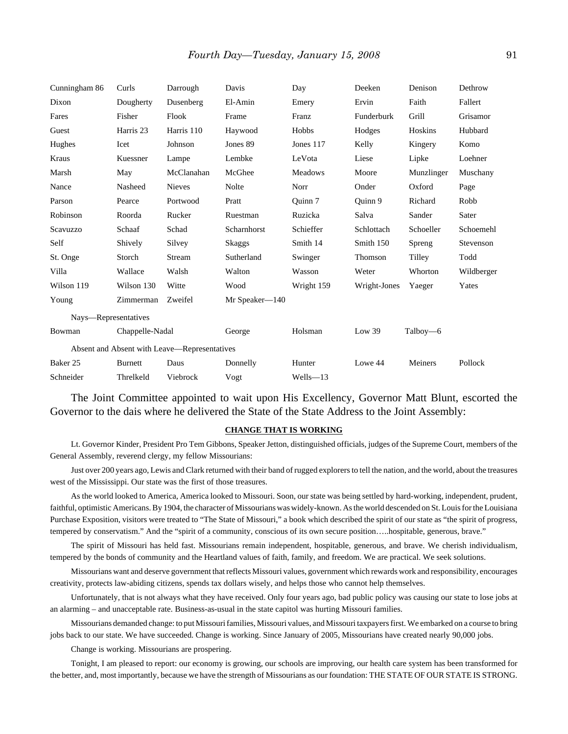| Cunningham 86                                | Curls           | Darrough      | Davis          | Day            | Deeken       | Denison    | Dethrow    |
|----------------------------------------------|-----------------|---------------|----------------|----------------|--------------|------------|------------|
| Dixon                                        | Dougherty       | Dusenberg     | El-Amin        | Emery          | Ervin        | Faith      | Fallert    |
| Fares                                        | Fisher          | Flook         | Frame          | Franz          | Funderburk   | Grill      | Grisamor   |
| Guest                                        | Harris 23       | Harris 110    | Haywood        | Hobbs          | Hodges       | Hoskins    | Hubbard    |
| Hughes                                       | Icet            | Johnson       | Jones 89       | Jones 117      | Kelly        | Kingery    | Komo       |
| Kraus                                        | Kuessner        | Lampe         | Lembke         | LeVota         | Liese        | Lipke      | Loehner    |
| Marsh                                        | May             | McClanahan    | McGhee         | <b>Meadows</b> | Moore        | Munzlinger | Muschany   |
| Nance                                        | Nasheed         | <b>Nieves</b> | Nolte          | Norr           | Onder        | Oxford     | Page       |
| Parson                                       | Pearce          | Portwood      | Pratt          | Ouinn 7        | Ouinn 9      | Richard    | Robb       |
| Robinson                                     | Roorda          | Rucker        | Ruestman       | Ruzicka        | Salva        | Sander     | Sater      |
| Scavuzzo                                     | Schaaf          | Schad         | Scharnhorst    | Schieffer      | Schlottach   | Schoeller  | Schoemehl  |
| Self                                         | Shively         | Silvey        | Skaggs         | Smith 14       | Smith 150    | Spreng     | Stevenson  |
| St. Onge                                     | Storch          | Stream        | Sutherland     | Swinger        | Thomson      | Tilley     | Todd       |
| Villa                                        | Wallace         | Walsh         | Walton         | Wasson         | Weter        | Whorton    | Wildberger |
| Wilson 119                                   | Wilson 130      | Witte         | Wood           | Wright 159     | Wright-Jones | Yaeger     | Yates      |
| Young                                        | Zimmerman       | Zweifel       | Mr Speaker-140 |                |              |            |            |
| Nays—Representatives                         |                 |               |                |                |              |            |            |
| Bowman                                       | Chappelle-Nadal |               | George         | Holsman        | Low 39       | Talboy-6   |            |
| Absent and Absent with Leave—Representatives |                 |               |                |                |              |            |            |
| Baker 25                                     | Burnett         | Daus          | Donnelly       | Hunter         | Lowe 44      | Meiners    | Pollock    |
| Schneider                                    | Threlkeld       | Viebrock      | Vogt           | Wells-13       |              |            |            |

The Joint Committee appointed to wait upon His Excellency, Governor Matt Blunt, escorted the Governor to the dais where he delivered the State of the State Address to the Joint Assembly:

#### **CHANGE THAT IS WORKING**

Lt. Governor Kinder, President Pro Tem Gibbons, Speaker Jetton, distinguished officials, judges of the Supreme Court, members of the General Assembly, reverend clergy, my fellow Missourians:

Just over 200 years ago, Lewis and Clark returned with their band of rugged explorers to tell the nation, and the world, about the treasures west of the Mississippi. Our state was the first of those treasures.

As the world looked to America, America looked to Missouri. Soon, our state was being settled by hard-working, independent, prudent, faithful, optimistic Americans. By 1904, the character of Missourians was widely-known. As the world descended on St. Louis for the Louisiana Purchase Exposition, visitors were treated to "The State of Missouri," a book which described the spirit of our state as "the spirit of progress, tempered by conservatism." And the "spirit of a community, conscious of its own secure position…..hospitable, generous, brave."

The spirit of Missouri has held fast. Missourians remain independent, hospitable, generous, and brave. We cherish individualism, tempered by the bonds of community and the Heartland values of faith, family, and freedom. We are practical. We seek solutions.

Missourians want and deserve government that reflects Missouri values, government which rewards work and responsibility, encourages creativity, protects law-abiding citizens, spends tax dollars wisely, and helps those who cannot help themselves.

Unfortunately, that is not always what they have received. Only four years ago, bad public policy was causing our state to lose jobs at an alarming – and unacceptable rate. Business-as-usual in the state capitol was hurting Missouri families.

Missourians demanded change: to put Missouri families, Missouri values, and Missouri taxpayers first. We embarked on a course to bring jobs back to our state. We have succeeded. Change is working. Since January of 2005, Missourians have created nearly 90,000 jobs.

Change is working. Missourians are prospering.

Tonight, I am pleased to report: our economy is growing, our schools are improving, our health care system has been transformed for the better, and, most importantly, because we have the strength of Missourians as our foundation: THE STATE OF OUR STATE IS STRONG.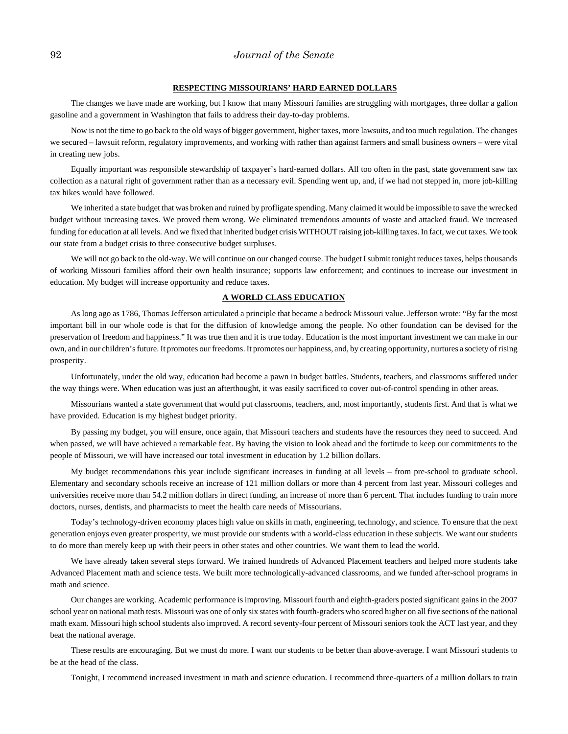#### **RESPECTING MISSOURIANS' HARD EARNED DOLLARS**

The changes we have made are working, but I know that many Missouri families are struggling with mortgages, three dollar a gallon gasoline and a government in Washington that fails to address their day-to-day problems.

Now is not the time to go back to the old ways of bigger government, higher taxes, more lawsuits, and too much regulation. The changes we secured – lawsuit reform, regulatory improvements, and working with rather than against farmers and small business owners – were vital in creating new jobs.

Equally important was responsible stewardship of taxpayer's hard-earned dollars. All too often in the past, state government saw tax collection as a natural right of government rather than as a necessary evil. Spending went up, and, if we had not stepped in, more job-killing tax hikes would have followed.

We inherited a state budget that was broken and ruined by profligate spending. Many claimed it would be impossible to save the wrecked budget without increasing taxes. We proved them wrong. We eliminated tremendous amounts of waste and attacked fraud. We increased funding for education at all levels. And we fixed that inherited budget crisis WITHOUT raising job-killing taxes. In fact, we cut taxes. We took our state from a budget crisis to three consecutive budget surpluses.

We will not go back to the old-way. We will continue on our changed course. The budget I submit tonight reduces taxes, helps thousands of working Missouri families afford their own health insurance; supports law enforcement; and continues to increase our investment in education. My budget will increase opportunity and reduce taxes.

#### **A WORLD CLASS EDUCATION**

As long ago as 1786, Thomas Jefferson articulated a principle that became a bedrock Missouri value. Jefferson wrote: "By far the most important bill in our whole code is that for the diffusion of knowledge among the people. No other foundation can be devised for the preservation of freedom and happiness." It was true then and it is true today. Education is the most important investment we can make in our own, and in our children's future. It promotes our freedoms. It promotes our happiness, and, by creating opportunity, nurtures a society of rising prosperity.

Unfortunately, under the old way, education had become a pawn in budget battles. Students, teachers, and classrooms suffered under the way things were. When education was just an afterthought, it was easily sacrificed to cover out-of-control spending in other areas.

Missourians wanted a state government that would put classrooms, teachers, and, most importantly, students first. And that is what we have provided. Education is my highest budget priority.

By passing my budget, you will ensure, once again, that Missouri teachers and students have the resources they need to succeed. And when passed, we will have achieved a remarkable feat. By having the vision to look ahead and the fortitude to keep our commitments to the people of Missouri, we will have increased our total investment in education by 1.2 billion dollars.

My budget recommendations this year include significant increases in funding at all levels – from pre-school to graduate school. Elementary and secondary schools receive an increase of 121 million dollars or more than 4 percent from last year. Missouri colleges and universities receive more than 54.2 million dollars in direct funding, an increase of more than 6 percent. That includes funding to train more doctors, nurses, dentists, and pharmacists to meet the health care needs of Missourians.

Today's technology-driven economy places high value on skills in math, engineering, technology, and science. To ensure that the next generation enjoys even greater prosperity, we must provide our students with a world-class education in these subjects. We want our students to do more than merely keep up with their peers in other states and other countries. We want them to lead the world.

We have already taken several steps forward. We trained hundreds of Advanced Placement teachers and helped more students take Advanced Placement math and science tests. We built more technologically-advanced classrooms, and we funded after-school programs in math and science.

Our changes are working. Academic performance is improving. Missouri fourth and eighth-graders posted significant gains in the 2007 school year on national math tests. Missouri was one of only six states with fourth-graders who scored higher on all five sections of the national math exam. Missouri high school students also improved. A record seventy-four percent of Missouri seniors took the ACT last year, and they beat the national average.

These results are encouraging. But we must do more. I want our students to be better than above-average. I want Missouri students to be at the head of the class.

Tonight, I recommend increased investment in math and science education. I recommend three-quarters of a million dollars to train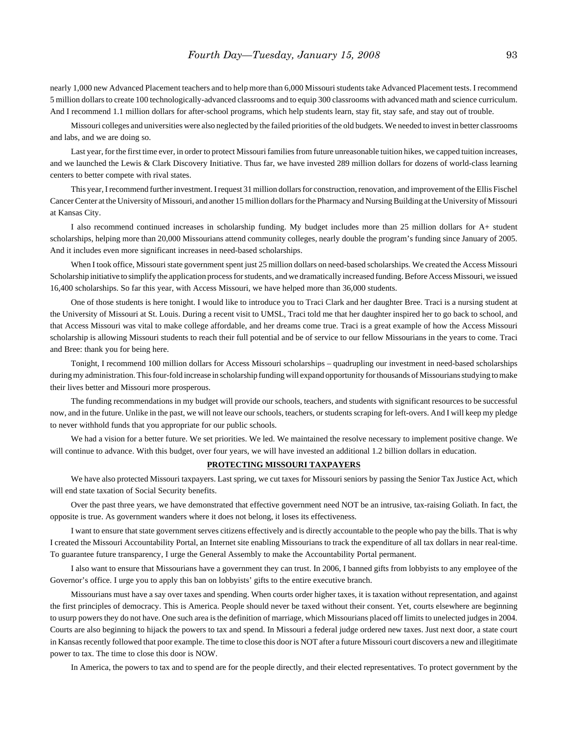nearly 1,000 new Advanced Placement teachers and to help more than 6,000 Missouri students take Advanced Placement tests. I recommend 5 million dollars to create 100 technologically-advanced classrooms and to equip 300 classrooms with advanced math and science curriculum. And I recommend 1.1 million dollars for after-school programs, which help students learn, stay fit, stay safe, and stay out of trouble.

Missouri colleges and universities were also neglected by the failed priorities of the old budgets. We needed to invest in better classrooms and labs, and we are doing so.

Last year, for the first time ever, in order to protect Missouri families from future unreasonable tuition hikes, we capped tuition increases, and we launched the Lewis & Clark Discovery Initiative. Thus far, we have invested 289 million dollars for dozens of world-class learning centers to better compete with rival states.

This year, I recommend further investment. I request 31 million dollars for construction, renovation, and improvement of the Ellis Fischel Cancer Center at the University of Missouri, and another 15 million dollars for the Pharmacy and Nursing Building at the University of Missouri at Kansas City.

I also recommend continued increases in scholarship funding. My budget includes more than 25 million dollars for A+ student scholarships, helping more than 20,000 Missourians attend community colleges, nearly double the program's funding since January of 2005. And it includes even more significant increases in need-based scholarships.

When I took office, Missouri state government spent just 25 million dollars on need-based scholarships. We created the Access Missouri Scholarship initiative to simplify the application process for students, and we dramatically increased funding. Before Access Missouri, we issued 16,400 scholarships. So far this year, with Access Missouri, we have helped more than 36,000 students.

One of those students is here tonight. I would like to introduce you to Traci Clark and her daughter Bree. Traci is a nursing student at the University of Missouri at St. Louis. During a recent visit to UMSL, Traci told me that her daughter inspired her to go back to school, and that Access Missouri was vital to make college affordable, and her dreams come true. Traci is a great example of how the Access Missouri scholarship is allowing Missouri students to reach their full potential and be of service to our fellow Missourians in the years to come. Traci and Bree: thank you for being here.

Tonight, I recommend 100 million dollars for Access Missouri scholarships – quadrupling our investment in need-based scholarships during my administration. This four-fold increase in scholarship funding will expand opportunity for thousands of Missourians studying to make their lives better and Missouri more prosperous.

The funding recommendations in my budget will provide our schools, teachers, and students with significant resources to be successful now, and in the future. Unlike in the past, we will not leave our schools, teachers, or students scraping for left-overs. And I will keep my pledge to never withhold funds that you appropriate for our public schools.

We had a vision for a better future. We set priorities. We led. We maintained the resolve necessary to implement positive change. We will continue to advance. With this budget, over four years, we will have invested an additional 1.2 billion dollars in education.

#### **PROTECTING MISSOURI TAXPAYERS**

We have also protected Missouri taxpayers. Last spring, we cut taxes for Missouri seniors by passing the Senior Tax Justice Act, which will end state taxation of Social Security benefits.

Over the past three years, we have demonstrated that effective government need NOT be an intrusive, tax-raising Goliath. In fact, the opposite is true. As government wanders where it does not belong, it loses its effectiveness.

I want to ensure that state government serves citizens effectively and is directly accountable to the people who pay the bills. That is why I created the Missouri Accountability Portal, an Internet site enabling Missourians to track the expenditure of all tax dollars in near real-time. To guarantee future transparency, I urge the General Assembly to make the Accountability Portal permanent.

I also want to ensure that Missourians have a government they can trust. In 2006, I banned gifts from lobbyists to any employee of the Governor's office. I urge you to apply this ban on lobbyists' gifts to the entire executive branch.

Missourians must have a say over taxes and spending. When courts order higher taxes, it is taxation without representation, and against the first principles of democracy. This is America. People should never be taxed without their consent. Yet, courts elsewhere are beginning to usurp powers they do not have. One such area is the definition of marriage, which Missourians placed off limits to unelected judges in 2004. Courts are also beginning to hijack the powers to tax and spend. In Missouri a federal judge ordered new taxes. Just next door, a state court in Kansas recently followed that poor example. The time to close this door is NOT after a future Missouri court discovers a new and illegitimate power to tax. The time to close this door is NOW.

In America, the powers to tax and to spend are for the people directly, and their elected representatives. To protect government by the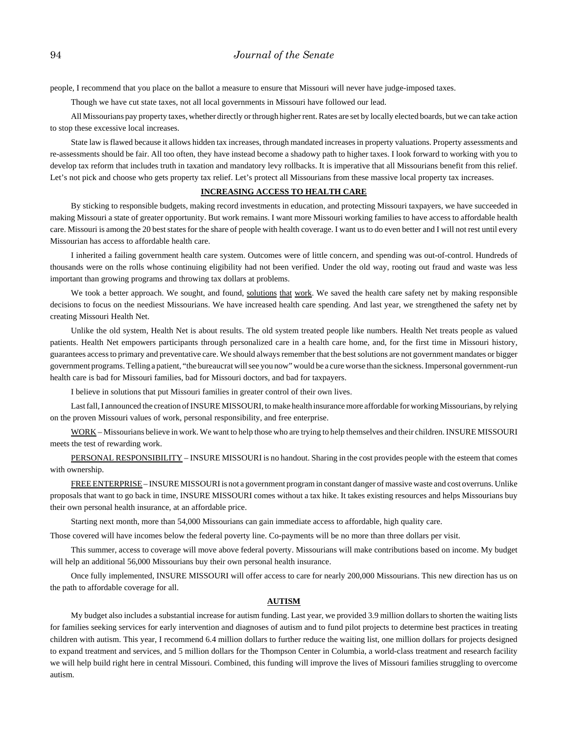people, I recommend that you place on the ballot a measure to ensure that Missouri will never have judge-imposed taxes.

Though we have cut state taxes, not all local governments in Missouri have followed our lead.

All Missourians pay property taxes, whether directly or through higher rent. Rates are set by locally elected boards, but we can take action to stop these excessive local increases.

State law is flawed because it allows hidden tax increases, through mandated increases in property valuations. Property assessments and re-assessments should be fair. All too often, they have instead become a shadowy path to higher taxes. I look forward to working with you to develop tax reform that includes truth in taxation and mandatory levy rollbacks. It is imperative that all Missourians benefit from this relief. Let's not pick and choose who gets property tax relief. Let's protect all Missourians from these massive local property tax increases.

#### **INCREASING ACCESS TO HEALTH CARE**

By sticking to responsible budgets, making record investments in education, and protecting Missouri taxpayers, we have succeeded in making Missouri a state of greater opportunity. But work remains. I want more Missouri working families to have access to affordable health care. Missouri is among the 20 best states for the share of people with health coverage. I want us to do even better and I will not rest until every Missourian has access to affordable health care.

I inherited a failing government health care system. Outcomes were of little concern, and spending was out-of-control. Hundreds of thousands were on the rolls whose continuing eligibility had not been verified. Under the old way, rooting out fraud and waste was less important than growing programs and throwing tax dollars at problems.

We took a better approach. We sought, and found, solutions that work. We saved the health care safety net by making responsible decisions to focus on the neediest Missourians. We have increased health care spending. And last year, we strengthened the safety net by creating Missouri Health Net.

Unlike the old system, Health Net is about results. The old system treated people like numbers. Health Net treats people as valued patients. Health Net empowers participants through personalized care in a health care home, and, for the first time in Missouri history, guarantees access to primary and preventative care. We should always remember that the best solutions are not government mandates or bigger government programs. Telling a patient, "the bureaucrat will see you now" would be a cure worse than the sickness. Impersonal government-run health care is bad for Missouri families, bad for Missouri doctors, and bad for taxpayers.

I believe in solutions that put Missouri families in greater control of their own lives.

Last fall, I announced the creation of INSURE MISSOURI, to make health insurance more affordable for working Missourians, by relying on the proven Missouri values of work, personal responsibility, and free enterprise.

WORK – Missourians believe in work. We want to help those who are trying to help themselves and their children. INSURE MISSOURI meets the test of rewarding work.

PERSONAL RESPONSIBILITY – INSURE MISSOURI is no handout. Sharing in the cost provides people with the esteem that comes with ownership.

FREE ENTERPRISE – INSURE MISSOURI is not a government program in constant danger of massive waste and cost overruns. Unlike proposals that want to go back in time, INSURE MISSOURI comes without a tax hike. It takes existing resources and helps Missourians buy their own personal health insurance, at an affordable price.

Starting next month, more than 54,000 Missourians can gain immediate access to affordable, high quality care.

Those covered will have incomes below the federal poverty line. Co-payments will be no more than three dollars per visit.

This summer, access to coverage will move above federal poverty. Missourians will make contributions based on income. My budget will help an additional 56,000 Missourians buy their own personal health insurance.

Once fully implemented, INSURE MISSOURI will offer access to care for nearly 200,000 Missourians. This new direction has us on the path to affordable coverage for all.

#### **AUTISM**

My budget also includes a substantial increase for autism funding. Last year, we provided 3.9 million dollars to shorten the waiting lists for families seeking services for early intervention and diagnoses of autism and to fund pilot projects to determine best practices in treating children with autism. This year, I recommend 6.4 million dollars to further reduce the waiting list, one million dollars for projects designed to expand treatment and services, and 5 million dollars for the Thompson Center in Columbia, a world-class treatment and research facility we will help build right here in central Missouri. Combined, this funding will improve the lives of Missouri families struggling to overcome autism.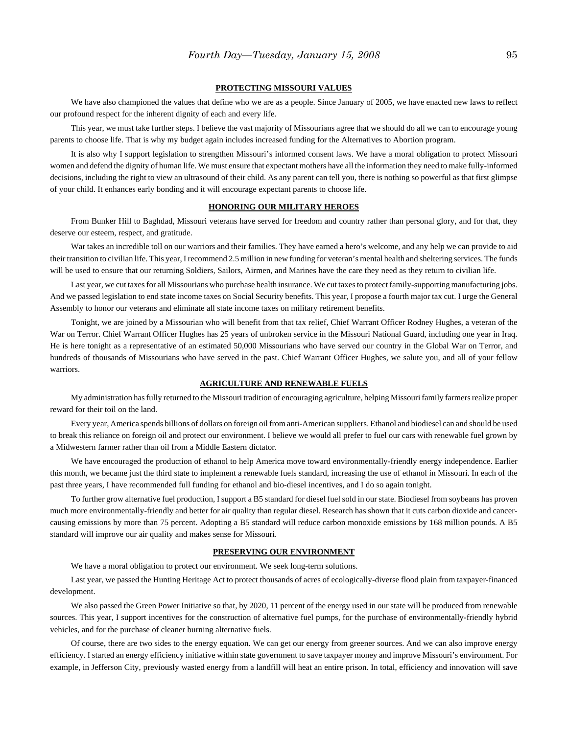#### **PROTECTING MISSOURI VALUES**

We have also championed the values that define who we are as a people. Since January of 2005, we have enacted new laws to reflect our profound respect for the inherent dignity of each and every life.

This year, we must take further steps. I believe the vast majority of Missourians agree that we should do all we can to encourage young parents to choose life. That is why my budget again includes increased funding for the Alternatives to Abortion program.

It is also why I support legislation to strengthen Missouri's informed consent laws. We have a moral obligation to protect Missouri women and defend the dignity of human life. We must ensure that expectant mothers have all the information they need to make fully-informed decisions, including the right to view an ultrasound of their child. As any parent can tell you, there is nothing so powerful as that first glimpse of your child. It enhances early bonding and it will encourage expectant parents to choose life.

#### **HONORING OUR MILITARY HEROES**

From Bunker Hill to Baghdad, Missouri veterans have served for freedom and country rather than personal glory, and for that, they deserve our esteem, respect, and gratitude.

War takes an incredible toll on our warriors and their families. They have earned a hero's welcome, and any help we can provide to aid their transition to civilian life. This year, I recommend 2.5 million in new funding for veteran's mental health and sheltering services. The funds will be used to ensure that our returning Soldiers, Sailors, Airmen, and Marines have the care they need as they return to civilian life.

Last year, we cut taxes for all Missourians who purchase health insurance. We cut taxes to protect family-supporting manufacturing jobs. And we passed legislation to end state income taxes on Social Security benefits. This year, I propose a fourth major tax cut. I urge the General Assembly to honor our veterans and eliminate all state income taxes on military retirement benefits.

Tonight, we are joined by a Missourian who will benefit from that tax relief, Chief Warrant Officer Rodney Hughes, a veteran of the War on Terror. Chief Warrant Officer Hughes has 25 years of unbroken service in the Missouri National Guard, including one year in Iraq. He is here tonight as a representative of an estimated 50,000 Missourians who have served our country in the Global War on Terror, and hundreds of thousands of Missourians who have served in the past. Chief Warrant Officer Hughes, we salute you, and all of your fellow warriors.

#### **AGRICULTURE AND RENEWABLE FUELS**

My administration has fully returned to the Missouri tradition of encouraging agriculture, helping Missouri family farmers realize proper reward for their toil on the land.

Every year, America spends billions of dollars on foreign oil from anti-American suppliers. Ethanol and biodiesel can and should be used to break this reliance on foreign oil and protect our environment. I believe we would all prefer to fuel our cars with renewable fuel grown by a Midwestern farmer rather than oil from a Middle Eastern dictator.

We have encouraged the production of ethanol to help America move toward environmentally-friendly energy independence. Earlier this month, we became just the third state to implement a renewable fuels standard, increasing the use of ethanol in Missouri. In each of the past three years, I have recommended full funding for ethanol and bio-diesel incentives, and I do so again tonight.

To further grow alternative fuel production, I support a B5 standard for diesel fuel sold in our state. Biodiesel from soybeans has proven much more environmentally-friendly and better for air quality than regular diesel. Research has shown that it cuts carbon dioxide and cancercausing emissions by more than 75 percent. Adopting a B5 standard will reduce carbon monoxide emissions by 168 million pounds. A B5 standard will improve our air quality and makes sense for Missouri.

#### **PRESERVING OUR ENVIRONMENT**

We have a moral obligation to protect our environment. We seek long-term solutions.

Last year, we passed the Hunting Heritage Act to protect thousands of acres of ecologically-diverse flood plain from taxpayer-financed development.

We also passed the Green Power Initiative so that, by 2020, 11 percent of the energy used in our state will be produced from renewable sources. This year, I support incentives for the construction of alternative fuel pumps, for the purchase of environmentally-friendly hybrid vehicles, and for the purchase of cleaner burning alternative fuels.

Of course, there are two sides to the energy equation. We can get our energy from greener sources. And we can also improve energy efficiency. I started an energy efficiency initiative within state government to save taxpayer money and improve Missouri's environment. For example, in Jefferson City, previously wasted energy from a landfill will heat an entire prison. In total, efficiency and innovation will save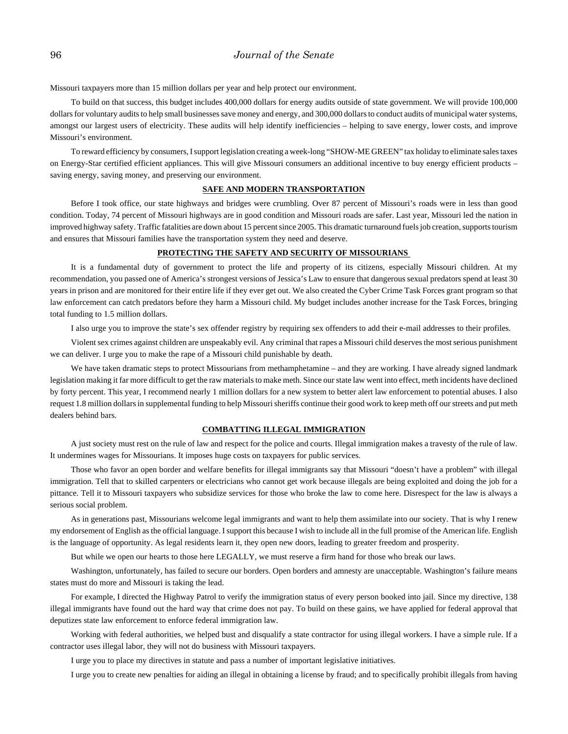Missouri taxpayers more than 15 million dollars per year and help protect our environment.

To build on that success, this budget includes 400,000 dollars for energy audits outside of state government. We will provide 100,000 dollars for voluntary audits to help small businesses save money and energy, and 300,000 dollars to conduct audits of municipal water systems, amongst our largest users of electricity. These audits will help identify inefficiencies – helping to save energy, lower costs, and improve Missouri's environment.

To reward efficiency by consumers, I support legislation creating a week-long "SHOW-ME GREEN" tax holiday to eliminate sales taxes on Energy-Star certified efficient appliances. This will give Missouri consumers an additional incentive to buy energy efficient products – saving energy, saving money, and preserving our environment.

#### **SAFE AND MODERN TRANSPORTATION**

Before I took office, our state highways and bridges were crumbling. Over 87 percent of Missouri's roads were in less than good condition. Today, 74 percent of Missouri highways are in good condition and Missouri roads are safer. Last year, Missouri led the nation in improved highway safety. Traffic fatalities are down about 15 percent since 2005. This dramatic turnaround fuels job creation, supports tourism and ensures that Missouri families have the transportation system they need and deserve.

#### **PROTECTING THE SAFETY AND SECURITY OF MISSOURIANS**

It is a fundamental duty of government to protect the life and property of its citizens, especially Missouri children. At my recommendation, you passed one of America's strongest versions of Jessica's Law to ensure that dangerous sexual predators spend at least 30 years in prison and are monitored for their entire life if they ever get out. We also created the Cyber Crime Task Forces grant program so that law enforcement can catch predators before they harm a Missouri child. My budget includes another increase for the Task Forces, bringing total funding to 1.5 million dollars.

I also urge you to improve the state's sex offender registry by requiring sex offenders to add their e-mail addresses to their profiles.

Violent sex crimes against children are unspeakably evil. Any criminal that rapes a Missouri child deserves the most serious punishment we can deliver. I urge you to make the rape of a Missouri child punishable by death.

We have taken dramatic steps to protect Missourians from methamphetamine – and they are working. I have already signed landmark legislation making it far more difficult to get the raw materials to make meth. Since our state law went into effect, meth incidents have declined by forty percent. This year, I recommend nearly 1 million dollars for a new system to better alert law enforcement to potential abuses. I also request 1.8 million dollars in supplemental funding to help Missouri sheriffs continue their good work to keep meth off our streets and put meth dealers behind bars.

#### **COMBATTING ILLEGAL IMMIGRATION**

A just society must rest on the rule of law and respect for the police and courts. Illegal immigration makes a travesty of the rule of law. It undermines wages for Missourians. It imposes huge costs on taxpayers for public services.

Those who favor an open border and welfare benefits for illegal immigrants say that Missouri "doesn't have a problem" with illegal immigration. Tell that to skilled carpenters or electricians who cannot get work because illegals are being exploited and doing the job for a pittance. Tell it to Missouri taxpayers who subsidize services for those who broke the law to come here. Disrespect for the law is always a serious social problem.

As in generations past, Missourians welcome legal immigrants and want to help them assimilate into our society. That is why I renew my endorsement of English as the official language. I support this because I wish to include all in the full promise of the American life. English is the language of opportunity. As legal residents learn it, they open new doors, leading to greater freedom and prosperity.

But while we open our hearts to those here LEGALLY, we must reserve a firm hand for those who break our laws.

Washington, unfortunately, has failed to secure our borders. Open borders and amnesty are unacceptable. Washington's failure means states must do more and Missouri is taking the lead.

For example, I directed the Highway Patrol to verify the immigration status of every person booked into jail. Since my directive, 138 illegal immigrants have found out the hard way that crime does not pay. To build on these gains, we have applied for federal approval that deputizes state law enforcement to enforce federal immigration law.

Working with federal authorities, we helped bust and disqualify a state contractor for using illegal workers. I have a simple rule. If a contractor uses illegal labor, they will not do business with Missouri taxpayers.

I urge you to place my directives in statute and pass a number of important legislative initiatives.

I urge you to create new penalties for aiding an illegal in obtaining a license by fraud; and to specifically prohibit illegals from having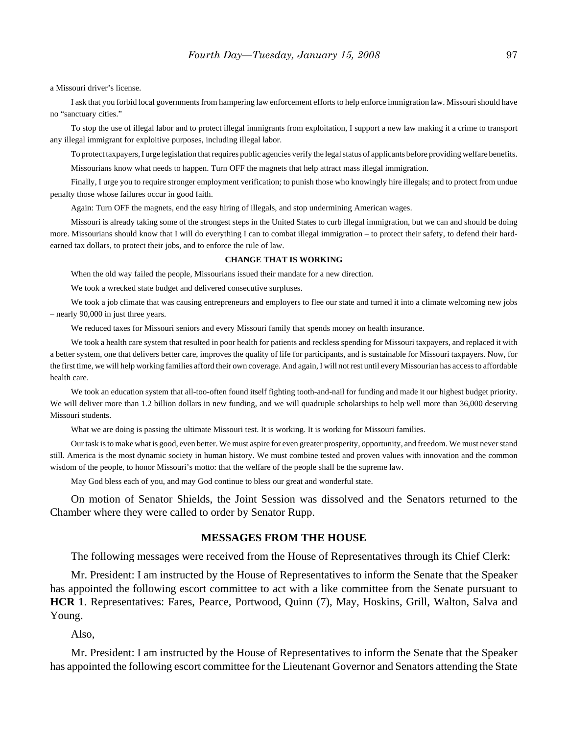a Missouri driver's license.

I ask that you forbid local governments from hampering law enforcement efforts to help enforce immigration law. Missouri should have no "sanctuary cities."

To stop the use of illegal labor and to protect illegal immigrants from exploitation, I support a new law making it a crime to transport any illegal immigrant for exploitive purposes, including illegal labor.

To protect taxpayers, I urge legislation that requires public agencies verify the legal status of applicants before providing welfare benefits.

Missourians know what needs to happen. Turn OFF the magnets that help attract mass illegal immigration.

Finally, I urge you to require stronger employment verification; to punish those who knowingly hire illegals; and to protect from undue penalty those whose failures occur in good faith.

Again: Turn OFF the magnets, end the easy hiring of illegals, and stop undermining American wages.

Missouri is already taking some of the strongest steps in the United States to curb illegal immigration, but we can and should be doing more. Missourians should know that I will do everything I can to combat illegal immigration – to protect their safety, to defend their hardearned tax dollars, to protect their jobs, and to enforce the rule of law.

#### **CHANGE THAT IS WORKING**

When the old way failed the people, Missourians issued their mandate for a new direction.

We took a wrecked state budget and delivered consecutive surpluses.

We took a job climate that was causing entrepreneurs and employers to flee our state and turned it into a climate welcoming new jobs – nearly 90,000 in just three years.

We reduced taxes for Missouri seniors and every Missouri family that spends money on health insurance.

We took a health care system that resulted in poor health for patients and reckless spending for Missouri taxpayers, and replaced it with a better system, one that delivers better care, improves the quality of life for participants, and is sustainable for Missouri taxpayers. Now, for the first time, we will help working families afford their own coverage. And again, I will not rest until every Missourian has access to affordable health care.

We took an education system that all-too-often found itself fighting tooth-and-nail for funding and made it our highest budget priority. We will deliver more than 1.2 billion dollars in new funding, and we will quadruple scholarships to help well more than 36,000 deserving Missouri students.

What we are doing is passing the ultimate Missouri test. It is working. It is working for Missouri families.

Our task is to make what is good, even better. We must aspire for even greater prosperity, opportunity, and freedom. We must never stand still. America is the most dynamic society in human history. We must combine tested and proven values with innovation and the common wisdom of the people, to honor Missouri's motto: that the welfare of the people shall be the supreme law.

May God bless each of you, and may God continue to bless our great and wonderful state.

On motion of Senator Shields, the Joint Session was dissolved and the Senators returned to the Chamber where they were called to order by Senator Rupp.

# **MESSAGES FROM THE HOUSE**

The following messages were received from the House of Representatives through its Chief Clerk:

Mr. President: I am instructed by the House of Representatives to inform the Senate that the Speaker has appointed the following escort committee to act with a like committee from the Senate pursuant to **HCR 1**. Representatives: Fares, Pearce, Portwood, Quinn (7), May, Hoskins, Grill, Walton, Salva and Young.

Also,

Mr. President: I am instructed by the House of Representatives to inform the Senate that the Speaker has appointed the following escort committee for the Lieutenant Governor and Senators attending the State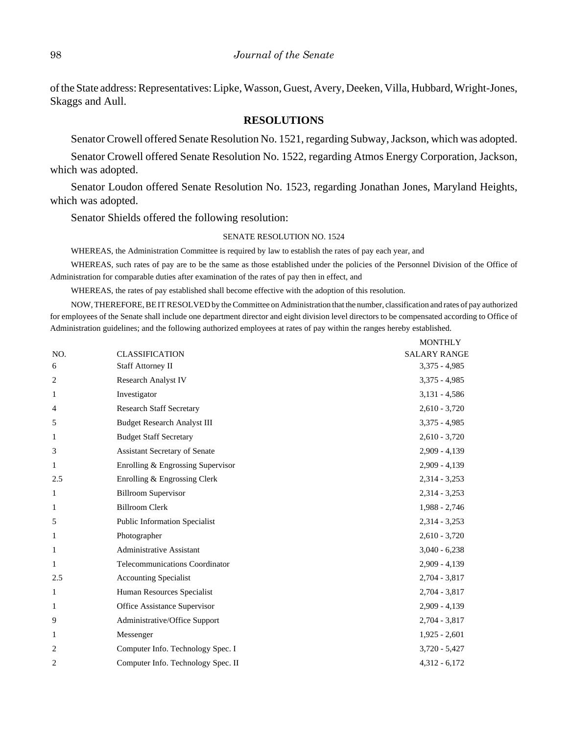of the State address: Representatives: Lipke, Wasson, Guest, Avery, Deeken, Villa, Hubbard, Wright-Jones, Skaggs and Aull.

# **RESOLUTIONS**

Senator Crowell offered Senate Resolution No. 1521, regarding Subway, Jackson, which was adopted.

Senator Crowell offered Senate Resolution No. 1522, regarding Atmos Energy Corporation, Jackson, which was adopted.

Senator Loudon offered Senate Resolution No. 1523, regarding Jonathan Jones, Maryland Heights, which was adopted.

Senator Shields offered the following resolution:

#### SENATE RESOLUTION NO. 1524

WHEREAS, the Administration Committee is required by law to establish the rates of pay each year, and

WHEREAS, such rates of pay are to be the same as those established under the policies of the Personnel Division of the Office of Administration for comparable duties after examination of the rates of pay then in effect, and

WHEREAS, the rates of pay established shall become effective with the adoption of this resolution.

NOW, THEREFORE, BE IT RESOLVED by the Committee on Administration that the number, classification and rates of pay authorized for employees of the Senate shall include one department director and eight division level directors to be compensated according to Office of Administration guidelines; and the following authorized employees at rates of pay within the ranges hereby established.

|              |                                       | <b>MONTHLY</b>      |
|--------------|---------------------------------------|---------------------|
| NO.          | <b>CLASSIFICATION</b>                 | <b>SALARY RANGE</b> |
| 6            | <b>Staff Attorney II</b>              | $3,375 - 4,985$     |
| 2            | Research Analyst IV                   | $3,375 - 4,985$     |
| 1            | Investigator                          | $3,131 - 4,586$     |
| 4            | <b>Research Staff Secretary</b>       | $2,610 - 3,720$     |
| 5            | <b>Budget Research Analyst III</b>    | $3,375 - 4,985$     |
| 1            | <b>Budget Staff Secretary</b>         | $2,610 - 3,720$     |
| 3            | Assistant Secretary of Senate         | $2,909 - 4,139$     |
| 1            | Enrolling & Engrossing Supervisor     | $2,909 - 4,139$     |
| 2.5          | Enrolling & Engrossing Clerk          | $2,314 - 3,253$     |
| 1            | <b>Billroom Supervisor</b>            | $2,314 - 3,253$     |
| 1            | <b>Billroom Clerk</b>                 | $1,988 - 2,746$     |
| 5            | <b>Public Information Specialist</b>  | $2,314 - 3,253$     |
| $\mathbf{1}$ | Photographer                          | $2,610 - 3,720$     |
| $\mathbf{1}$ | <b>Administrative Assistant</b>       | $3,040 - 6,238$     |
| 1            | <b>Telecommunications Coordinator</b> | $2,909 - 4,139$     |
| 2.5          | <b>Accounting Specialist</b>          | $2,704 - 3,817$     |
| 1            | Human Resources Specialist            | $2,704 - 3,817$     |
| 1            | Office Assistance Supervisor          | $2,909 - 4,139$     |
| 9            | Administrative/Office Support         | $2,704 - 3,817$     |
| 1            | Messenger                             | $1,925 - 2,601$     |
| 2            | Computer Info. Technology Spec. I     | $3,720 - 5,427$     |
| 2            | Computer Info. Technology Spec. II    | $4,312 - 6,172$     |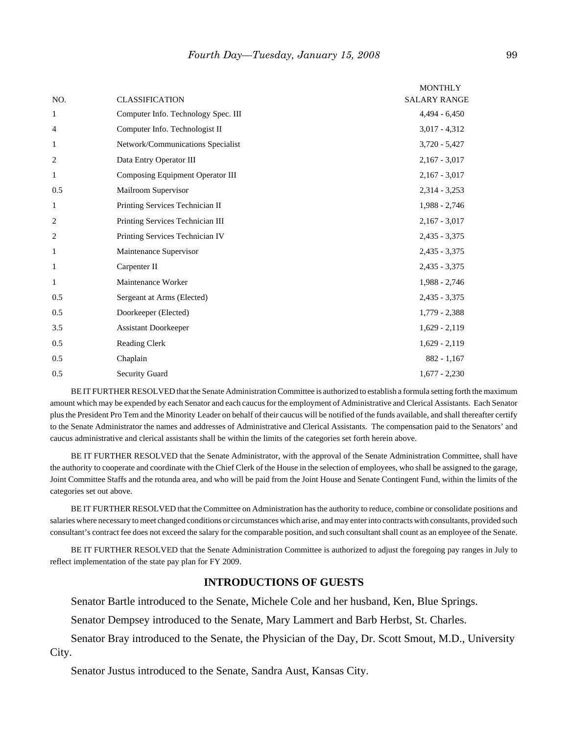|                |                                     | <b>MONTHLY</b>      |
|----------------|-------------------------------------|---------------------|
| NO.            | <b>CLASSIFICATION</b>               | <b>SALARY RANGE</b> |
| $\mathbf{1}$   | Computer Info. Technology Spec. III | $4,494 - 6,450$     |
| $\overline{4}$ | Computer Info. Technologist II      | $3,017 - 4,312$     |
| 1              | Network/Communications Specialist   | $3,720 - 5,427$     |
| 2              | Data Entry Operator III             | $2,167 - 3,017$     |
| 1              | Composing Equipment Operator III    | $2,167 - 3,017$     |
| 0.5            | Mailroom Supervisor                 | $2,314 - 3,253$     |
| $\mathbf{1}$   | Printing Services Technician II     | $1,988 - 2,746$     |
| 2              | Printing Services Technician III    | $2,167 - 3,017$     |
| 2              | Printing Services Technician IV     | $2,435 - 3,375$     |
| $\mathbf{1}$   | Maintenance Supervisor              | $2,435 - 3,375$     |
| $\mathbf{1}$   | Carpenter II                        | $2,435 - 3,375$     |
| $\mathbf{1}$   | Maintenance Worker                  | $1,988 - 2,746$     |
| 0.5            | Sergeant at Arms (Elected)          | $2,435 - 3,375$     |
| 0.5            | Doorkeeper (Elected)                | $1,779 - 2,388$     |
| 3.5            | <b>Assistant Doorkeeper</b>         | $1,629 - 2,119$     |
| 0.5            | Reading Clerk                       | $1,629 - 2,119$     |
| 0.5            | Chaplain                            | $882 - 1,167$       |
| 0.5            | Security Guard                      | $1,677 - 2,230$     |

BE IT FURTHER RESOLVED that the Senate Administration Committee is authorized to establish a formula setting forth the maximum amount which may be expended by each Senator and each caucus for the employment of Administrative and Clerical Assistants. Each Senator plus the President Pro Tem and the Minority Leader on behalf of their caucus will be notified of the funds available, and shall thereafter certify to the Senate Administrator the names and addresses of Administrative and Clerical Assistants. The compensation paid to the Senators' and caucus administrative and clerical assistants shall be within the limits of the categories set forth herein above.

BE IT FURTHER RESOLVED that the Senate Administrator, with the approval of the Senate Administration Committee, shall have the authority to cooperate and coordinate with the Chief Clerk of the House in the selection of employees, who shall be assigned to the garage, Joint Committee Staffs and the rotunda area, and who will be paid from the Joint House and Senate Contingent Fund, within the limits of the categories set out above.

BE IT FURTHER RESOLVED that the Committee on Administration has the authority to reduce, combine or consolidate positions and salaries where necessary to meet changed conditions or circumstances which arise, and may enter into contracts with consultants, provided such consultant's contract fee does not exceed the salary for the comparable position, and such consultant shall count as an employee of the Senate.

BE IT FURTHER RESOLVED that the Senate Administration Committee is authorized to adjust the foregoing pay ranges in July to reflect implementation of the state pay plan for FY 2009.

# **INTRODUCTIONS OF GUESTS**

Senator Bartle introduced to the Senate, Michele Cole and her husband, Ken, Blue Springs.

Senator Dempsey introduced to the Senate, Mary Lammert and Barb Herbst, St. Charles.

Senator Bray introduced to the Senate, the Physician of the Day, Dr. Scott Smout, M.D., University City.

Senator Justus introduced to the Senate, Sandra Aust, Kansas City.

 $\overline{\mathbf{M}}$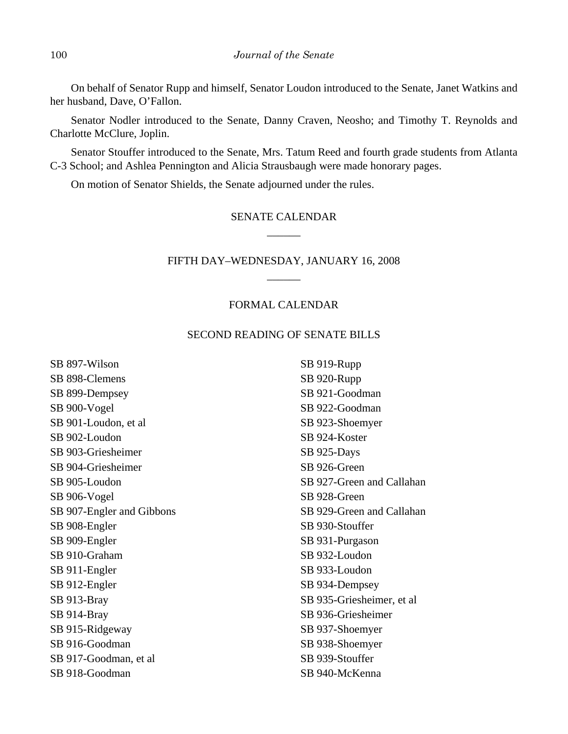On behalf of Senator Rupp and himself, Senator Loudon introduced to the Senate, Janet Watkins and her husband, Dave, O'Fallon.

Senator Nodler introduced to the Senate, Danny Craven, Neosho; and Timothy T. Reynolds and Charlotte McClure, Joplin.

Senator Stouffer introduced to the Senate, Mrs. Tatum Reed and fourth grade students from Atlanta C-3 School; and Ashlea Pennington and Alicia Strausbaugh were made honorary pages.

On motion of Senator Shields, the Senate adjourned under the rules.

# SENATE CALENDAR \_\_\_\_\_\_

# FIFTH DAY–WEDNESDAY, JANUARY 16, 2008 \_\_\_\_\_\_

# FORMAL CALENDAR

# SECOND READING OF SENATE BILLS

SB 897-Wilson SB 898-Clemens SB 899-Dempsey SB 900-Vogel SB 901-Loudon, et al SB 902-Loudon SB 903-Griesheimer SB 904-Griesheimer SB 905-Loudon SB 906-Vogel SB 907-Engler and Gibbons SB 908-Engler SB 909-Engler SB 910-Graham SB 911-Engler SB 912-Engler SB 913-Bray SB 914-Bray SB 915-Ridgeway SB 916-Goodman SB 917-Goodman, et al SB 918-Goodman

SB 919-Rupp SB 920-Rupp SB 921-Goodman SB 922-Goodman SB 923-Shoemyer SB 924-Koster SB 925-Days SB 926-Green SB 927-Green and Callahan SB 928-Green SB 929-Green and Callahan SB 930-Stouffer SB 931-Purgason SB 932-Loudon SB 933-Loudon SB 934-Dempsey SB 935-Griesheimer, et al SB 936-Griesheimer SB 937-Shoemyer SB 938-Shoemyer SB 939-Stouffer SB 940-McKenna